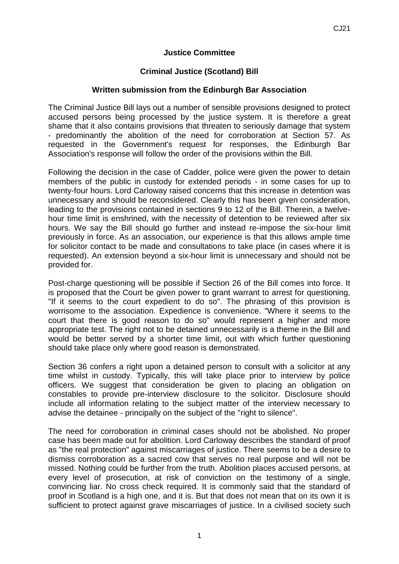## **Justice Committee**

## **Criminal Justice (Scotland) Bill**

## **Written submission from the Edinburgh Bar Association**

The Criminal Justice Bill lays out a number of sensible provisions designed to protect accused persons being processed by the justice system. It is therefore a great shame that it also contains provisions that threaten to seriously damage that system - predominantly the abolition of the need for corroboration at Section 57. As requested in the Government's request for responses, the Edinburgh Bar Association's response will follow the order of the provisions within the Bill.

Following the decision in the case of Cadder, police were given the power to detain members of the public in custody for extended periods - in some cases for up to twenty-four hours. Lord Carloway raised concerns that this increase in detention was unnecessary and should be reconsidered. Clearly this has been given consideration, leading to the provisions contained in sections 9 to 12 of the Bill. Therein, a twelvehour time limit is enshrined, with the necessity of detention to be reviewed after six hours. We say the Bill should go further and instead re-impose the six-hour limit previously in force. As an association, our experience is that this allows ample time for solicitor contact to be made and consultations to take place (in cases where it is requested). An extension beyond a six-hour limit is unnecessary and should not be provided for.

Post-charge questioning will be possible if Section 26 of the Bill comes into force. It is proposed that the Court be given power to grant warrant to arrest for questioning, "If it seems to the court expedient to do so". The phrasing of this provision is worrisome to the association. Expedience is convenience. "Where it seems to the court that there is good reason to do so" would represent a higher and more appropriate test. The right not to be detained unnecessarily is a theme in the Bill and would be better served by a shorter time limit, out with which further questioning should take place only where good reason is demonstrated.

Section 36 confers a right upon a detained person to consult with a solicitor at any time whilst in custody. Typically, this will take place prior to interview by police officers. We suggest that consideration be given to placing an obligation on constables to provide pre-interview disclosure to the solicitor. Disclosure should include all information relating to the subject matter of the interview necessary to advise the detainee - principally on the subject of the "right to silence".

The need for corroboration in criminal cases should not be abolished. No proper case has been made out for abolition. Lord Carloway describes the standard of proof as "the real protection" against miscarriages of justice. There seems to be a desire to dismiss corroboration as a sacred cow that serves no real purpose and will not be missed. Nothing could be further from the truth. Abolition places accused persons, at every level of prosecution, at risk of conviction on the testimony of a single, convincing liar. No cross check required. It is commonly said that the standard of proof in Scotland is a high one, and it is. But that does not mean that on its own it is sufficient to protect against grave miscarriages of justice. In a civilised society such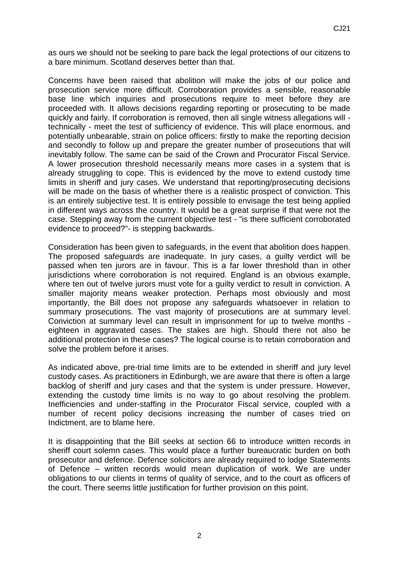as ours we should not be seeking to pare back the legal protections of our citizens to a bare minimum. Scotland deserves better than that.

Concerns have been raised that abolition will make the jobs of our police and prosecution service more difficult. Corroboration provides a sensible, reasonable base line which inquiries and prosecutions require to meet before they are proceeded with. It allows decisions regarding reporting or prosecuting to be made quickly and fairly. If corroboration is removed, then all single witness allegations will technically - meet the test of sufficiency of evidence. This will place enormous, and potentially unbearable, strain on police officers: firstly to make the reporting decision and secondly to follow up and prepare the greater number of prosecutions that will inevitably follow. The same can be said of the Crown and Procurator Fiscal Service. A lower prosecution threshold necessarily means more cases in a system that is already struggling to cope. This is evidenced by the move to extend custody time limits in sheriff and jury cases. We understand that reporting/prosecuting decisions will be made on the basis of whether there is a realistic prospect of conviction. This is an entirely subjective test. It is entirely possible to envisage the test being applied in different ways across the country. It would be a great surprise if that were not the case. Stepping away from the current objective test - "is there sufficient corroborated evidence to proceed?"- is stepping backwards.

Consideration has been given to safeguards, in the event that abolition does happen. The proposed safeguards are inadequate. In jury cases, a guilty verdict will be passed when ten jurors are in favour. This is a far lower threshold than in other jurisdictions where corroboration is not required. England is an obvious example, where ten out of twelve jurors must vote for a guilty verdict to result in conviction. A smaller majority means weaker protection. Perhaps most obviously and most importantly, the Bill does not propose any safeguards whatsoever in relation to summary prosecutions. The vast majority of prosecutions are at summary level. Conviction at summary level can result in imprisonment for up to twelve months eighteen in aggravated cases. The stakes are high. Should there not also be additional protection in these cases? The logical course is to retain corroboration and solve the problem before it arises.

As indicated above, pre-trial time limits are to be extended in sheriff and jury level custody cases. As practitioners in Edinburgh, we are aware that there is often a large backlog of sheriff and jury cases and that the system is under pressure. However, extending the custody time limits is no way to go about resolving the problem. Inefficiencies and under-staffing in the Procurator Fiscal service, coupled with a number of recent policy decisions increasing the number of cases tried on Indictment, are to blame here.

It is disappointing that the Bill seeks at section 66 to introduce written records in sheriff court solemn cases. This would place a further bureaucratic burden on both prosecutor and defence. Defence solicitors are already required to lodge Statements of Defence – written records would mean duplication of work. We are under obligations to our clients in terms of quality of service, and to the court as officers of the court. There seems little justification for further provision on this point.